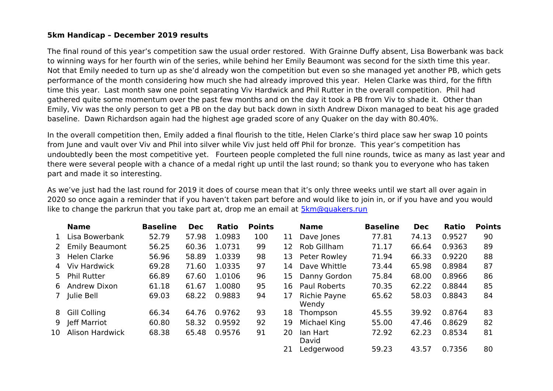## **5km Handicap – December 2019 results**

The final round of this year's competition saw the usual order restored. With Grainne Duffy absent, Lisa Bowerbank was back to winning ways for her fourth win of the series, while behind her Emily Beaumont was second for the sixth time this year. Not that Emily needed to turn up as she'd already won the competition but even so she managed yet another PB, which gets performance of the month considering how much she had already improved this year. Helen Clarke was third, for the fifth time this year. Last month saw one point separating Viv Hardwick and Phil Rutter in the overall competition. Phil had gathered quite some momentum over the past few months and on the day it took a PB from Viv to shade it. Other than Emily, Viv was the only person to get a PB on the day but back down in sixth Andrew Dixon managed to beat his age graded baseline. Dawn Richardson again had the highest age graded score of any Quaker on the day with 80.40%.

In the overall competition then, Emily added a final flourish to the title, Helen Clarke's third place saw her swap 10 points from June and vault over Viv and Phil into silver while Viv just held off Phil for bronze. This year's competition has undoubtedly been the most competitive yet. Fourteen people completed the full nine rounds, twice as many as last year and there were several people with a chance of a medal right up until the last round; so thank you to everyone who has taken part and made it so interesting.

As we've just had the last round for 2019 it does of course mean that it's only three weeks until we start all over again in 2020 so once again a reminder that if you haven't taken part before and would like to join in, or if you have and you would like to change the parkrun that you take part at, drop me an email at  $5km@quakers.run$ 

|                | <b>Name</b>            | <b>Baseline</b> | <b>Dec</b> | Ratio  | <b>Points</b> |     | <b>Name</b>           | <b>Baseline</b> | <b>Dec</b> | Ratio  | <b>Points</b> |
|----------------|------------------------|-----------------|------------|--------|---------------|-----|-----------------------|-----------------|------------|--------|---------------|
| $\mathbf{1}$   | Lisa Bowerbank         | 52.79           | 57.98      | 1.0983 | 100           | 11  | Dave Jones            | 77.81           | 74.13      | 0.9527 | 90            |
| 2              | <b>Emily Beaumont</b>  | 56.25           | 60.36      | 1.0731 | 99            | 12  | Rob Gillham           | 71.17           | 66.64      | 0.9363 | 89            |
|                | 3 Helen Clarke         | 56.96           | 58.89      | 1.0339 | 98            | 13  | Peter Rowley          | 71.94           | 66.33      | 0.9220 | 88            |
|                | 4 Viv Hardwick         | 69.28           | 71.60      | 1.0335 | 97            | 14  | Dave Whittle          | 73.44           | 65.98      | 0.8984 | 87            |
|                | 5 Phil Rutter          | 66.89           | 67.60      | 1.0106 | 96            | 15  | Danny Gordon          | 75.84           | 68.00      | 0.8966 | 86            |
| 6              | Andrew Dixon           | 61.18           | 61.67      | 1.0080 | 95            | 16. | <b>Paul Roberts</b>   | 70.35           | 62.22      | 0.8844 | 85            |
| 7 <sup>7</sup> | Julie Bell             | 69.03           | 68.22      | 0.9883 | 94            | 17  | Richie Payne<br>Wendy | 65.62           | 58.03      | 0.8843 | 84            |
| 8              | <b>Gill Colling</b>    | 66.34           | 64.76      | 0.9762 | 93            | 18  | Thompson              | 45.55           | 39.92      | 0.8764 | 83            |
| 9              | Jeff Marriot           | 60.80           | 58.32      | 0.9592 | 92            | 19  | Michael King          | 55.00           | 47.46      | 0.8629 | 82            |
| 10             | <b>Alison Hardwick</b> | 68.38           | 65.48      | 0.9576 | 91            | 20  | lan Hart<br>David     | 72.92           | 62.23      | 0.8534 | 81            |
|                |                        |                 |            |        |               | 21  | Ledgerwood            | 59.23           | 43.57      | 0.7356 | 80            |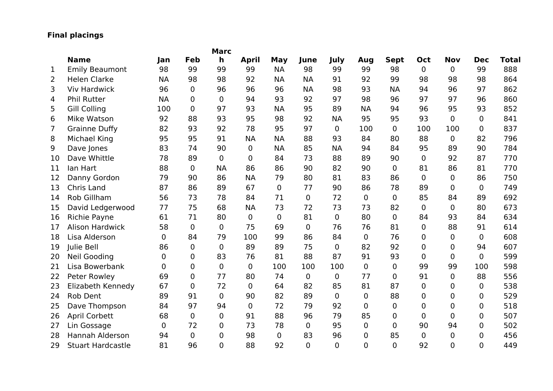## **Final placings**

|             |                          |             |                | <b>Marc</b>    |                |                |                |                |             |                |                |                |                |              |
|-------------|--------------------------|-------------|----------------|----------------|----------------|----------------|----------------|----------------|-------------|----------------|----------------|----------------|----------------|--------------|
|             | <b>Name</b>              | Jan         | Feb            | $\mathbf h$    | <b>April</b>   | <b>May</b>     | June           | July           | Aug         | <b>Sept</b>    | Oct            | <b>Nov</b>     | <b>Dec</b>     | <b>Total</b> |
| $\mathbf 1$ | <b>Emily Beaumont</b>    | 98          | 99             | 99             | 99             | <b>NA</b>      | 98             | 99             | 99          | 98             | $\mathbf 0$    | $\overline{0}$ | 99             | 888          |
| 2           | <b>Helen Clarke</b>      | <b>NA</b>   | 98             | 98             | 92             | <b>NA</b>      | <b>NA</b>      | 91             | 92          | 99             | 98             | 98             | 98             | 864          |
| 3           | <b>Viv Hardwick</b>      | 96          | $\mathbf 0$    | 96             | 96             | 96             | <b>NA</b>      | 98             | 93          | <b>NA</b>      | 94             | 96             | 97             | 862          |
| 4           | <b>Phil Rutter</b>       | <b>NA</b>   | $\mathbf 0$    | $\overline{0}$ | 94             | 93             | 92             | 97             | 98          | 96             | 97             | 97             | 96             | 860          |
| 5           | <b>Gill Colling</b>      | 100         | $\mathbf 0$    | 97             | 93             | <b>NA</b>      | 95             | 89             | <b>NA</b>   | 94             | 96             | 95             | 93             | 852          |
| 6           | Mike Watson              | 92          | 88             | 93             | 95             | 98             | 92             | <b>NA</b>      | 95          | 95             | 93             | $\mathbf 0$    | $\mathbf 0$    | 841          |
| 7           | <b>Grainne Duffy</b>     | 82          | 93             | 92             | 78             | 95             | 97             | $\overline{0}$ | 100         | 0              | 100            | 100            | 0              | 837          |
| 8           | Michael King             | 95          | 95             | 91             | <b>NA</b>      | <b>NA</b>      | 88             | 93             | 84          | 80             | 88             | $\overline{0}$ | 82             | 796          |
| 9           | Dave Jones               | 83          | 74             | 90             | $\mathbf{0}$   | <b>NA</b>      | 85             | <b>NA</b>      | 94          | 84             | 95             | 89             | 90             | 784          |
| 10          | Dave Whittle             | 78          | 89             | $\mathbf 0$    | $\mathbf 0$    | 84             | 73             | 88             | 89          | 90             | $\overline{0}$ | 92             | 87             | 770          |
| 11          | lan Hart                 | 88          | $\overline{0}$ | <b>NA</b>      | 86             | 86             | 90             | 82             | 90          | 0              | 81             | 86             | 81             | 770          |
| 12          | Danny Gordon             | 79          | 90             | 86             | <b>NA</b>      | 79             | 80             | 81             | 83          | 86             | $\Omega$       | $\overline{0}$ | 86             | 750          |
| 13          | Chris Land               | 87          | 86             | 89             | 67             | $\mathbf 0$    | 77             | 90             | 86          | 78             | 89             | $\overline{0}$ | $\mathbf 0$    | 749          |
| 14          | Rob Gillham              | 56          | 73             | 78             | 84             | 71             | $\overline{0}$ | 72             | 0           | 0              | 85             | 84             | 89             | 692          |
| 15          | David Ledgerwood         | 77          | 75             | 68             | <b>NA</b>      | 73             | 72             | 73             | 73          | 82             | $\mathbf 0$    | $\overline{0}$ | 80             | 673          |
| 16          | Richie Payne             | 61          | 71             | 80             | $\overline{0}$ | $\mathbf 0$    | 81             | $\overline{0}$ | 80          | 0              | 84             | 93             | 84             | 634          |
| 17          | <b>Alison Hardwick</b>   | 58          | $\overline{0}$ | $\mathbf 0$    | 75             | 69             | $\Omega$       | 76             | 76          | 81             | $\overline{0}$ | 88             | 91             | 614          |
| 18          | Lisa Alderson            | 0           | 84             | 79             | 100            | 99             | 86             | 84             | 0           | 76             | 0              | $\overline{0}$ | $\mathbf 0$    | 608          |
| 19          | Julie Bell               | 86          | $\overline{0}$ | $\overline{0}$ | 89             | 89             | 75             | $\overline{0}$ | 82          | 92             | 0              | $\mathbf 0$    | 94             | 607          |
| 20          | <b>Neil Gooding</b>      | $\mathbf 0$ | $\pmb{0}$      | 83             | 76             | 81             | 88             | 87             | 91          | 93             | $\Omega$       | 0              | $\mathbf 0$    | 599          |
| 21          | Lisa Bowerbank           | 0           | $\mathbf 0$    | $\mathbf 0$    | $\overline{0}$ | 100            | 100            | 100            | 0           | $\mathbf 0$    | 99             | 99             | 100            | 598          |
| 22          | Peter Rowley             | 69          | $\mathbf 0$    | 77             | 80             | 74             | $\overline{0}$ | $\overline{0}$ | 77          | 0              | 91             | $\overline{0}$ | 88             | 556          |
| 23          | Elizabeth Kennedy        | 67          | $\mathbf 0$    | 72             | $\overline{0}$ | 64             | 82             | 85             | 81          | 87             | $\Omega$       | $\overline{0}$ | $\mathbf 0$    | 538          |
| 24          | <b>Rob Dent</b>          | 89          | 91             | $\overline{0}$ | 90             | 82             | 89             | 0              | 0           | 88             | 0              | $\mathbf 0$    | $\mathbf 0$    | 529          |
| 25          | Dave Thompson            | 84          | 97             | 94             | $\mathbf 0$    | 72             | 79             | 92             | 0           | 0              | 0              | $\Omega$       | $\mathbf 0$    | 518          |
| 26          | <b>April Corbett</b>     | 68          | $\mathbf 0$    | 0              | 91             | 88             | 96             | 79             | 85          | 0              | $\mathbf 0$    | $\overline{0}$ | $\mathbf 0$    | 507          |
| 27          | Lin Gossage              | 0           | 72             | $\overline{0}$ | 73             | 78             | 0              | 95             | $\mathbf 0$ | $\overline{0}$ | 90             | 94             | $\mathbf 0$    | 502          |
| 28          | <b>Hannah Alderson</b>   | 94          | $\overline{0}$ | $\overline{0}$ | 98             | $\overline{0}$ | 83             | 96             | 0           | 85             | $\overline{0}$ | $\mathbf 0$    | $\overline{0}$ | 456          |
| 29          | <b>Stuart Hardcastle</b> | 81          | 96             | $\Omega$       | 88             | 92             | $\overline{0}$ | $\overline{0}$ | 0           | $\overline{0}$ | 92             | $\overline{0}$ | $\Omega$       | 449          |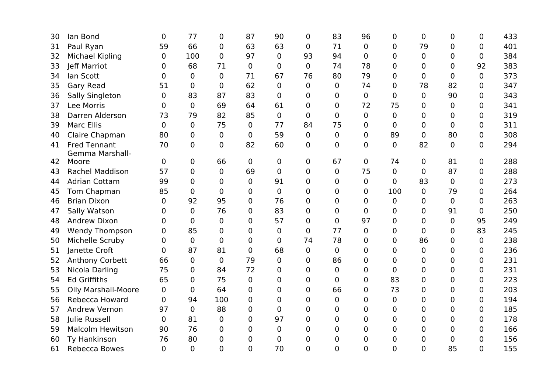| 30 | lan Bond                   | 0              | 77             | 0              | 87             | 90             | 0              | 83             | 96             | 0              | $\mathbf 0$    | 0           | 0              | 433 |
|----|----------------------------|----------------|----------------|----------------|----------------|----------------|----------------|----------------|----------------|----------------|----------------|-------------|----------------|-----|
| 31 | Paul Ryan                  | 59             | 66             | 0              | 63             | 63             | 0              | 71             | 0              | 0              | 79             | 0           | $\mathbf 0$    | 401 |
| 32 | Michael Kipling            | 0              | 100            | $\overline{0}$ | 97             | 0              | 93             | 94             | 0              | $\overline{0}$ | $\overline{0}$ | 0           | 0              | 384 |
| 33 | Jeff Marriot               | 0              | 68             | 71             | 0              | 0              | $\mathbf 0$    | 74             | 78             | $\mathbf 0$    | 0              | 0           | 92             | 383 |
| 34 | lan Scott                  | $\mathbf 0$    | 0              | $\overline{0}$ | 71             | 67             | 76             | 80             | 79             | 0              | $\overline{0}$ | 0           | $\mathbf 0$    | 373 |
| 35 | <b>Gary Read</b>           | 51             | $\overline{0}$ | $\overline{0}$ | 62             | 0              | $\overline{0}$ | $\overline{0}$ | 74             | $\overline{0}$ | 78             | 82          | 0              | 347 |
| 36 | Sally Singleton            | 0              | 83             | 87             | 83             | 0              | $\overline{0}$ | 0              | 0              | 0              | $\Omega$       | 90          | 0              | 343 |
| 37 | Lee Morris                 | $\mathbf 0$    | $\Omega$       | 69             | 64             | 61             | $\overline{0}$ | $\overline{0}$ | 72             | 75             | 0              | 0           | 0              | 341 |
| 38 | Darren Alderson            | 73             | 79             | 82             | 85             | 0              | $\Omega$       | $\mathbf 0$    | $\mathbf 0$    | $\Omega$       | $\overline{0}$ | 0           | 0              | 319 |
| 39 | <b>Marc Ellis</b>          | $\mathbf 0$    | 0              | 75             | $\mathbf 0$    | 77             | 84             | 75             | 0              | $\Omega$       | 0              | 0           | 0              | 311 |
| 40 | Claire Chapman             | 80             | 0              | $\overline{0}$ | 0              | 59             | 0              | $\overline{0}$ | $\mathbf 0$    | 89             | $\overline{0}$ | 80          | 0              | 308 |
| 41 | <b>Fred Tennant</b>        | 70             | 0              | $\overline{0}$ | 82             | 60             | 0              | $\overline{0}$ | 0              | $\overline{0}$ | 82             | 0           | 0              | 294 |
| 42 | Gemma Marshall-<br>Moore   | $\overline{0}$ | 0              | 66             | 0              | 0              | 0              | 67             | 0              | 74             | $\overline{0}$ | 81          | $\mathbf 0$    | 288 |
| 43 | <b>Rachel Maddison</b>     | 57             | $\overline{0}$ | $\overline{0}$ | 69             | 0              | $\overline{0}$ | $\mathbf 0$    | 75             | $\mathbf 0$    | 0              | 87          | 0              | 288 |
| 44 | <b>Adrian Cottam</b>       | 99             | 0              | 0              | 0              | 91             | 0              | $\mathbf 0$    | $\mathbf 0$    | $\mathbf 0$    | 83             | 0           | 0              | 273 |
| 45 | Tom Chapman                | 85             | $\Omega$       | $\Omega$       | 0              | $\overline{0}$ | $\overline{0}$ | $\overline{0}$ | $\mathbf 0$    | 100            | $\Omega$       | 79          |                | 264 |
|    | <b>Brian Dixon</b>         |                | 92             |                |                |                |                |                |                | $\Omega$       |                |             | 0              | 263 |
| 46 |                            | $\Omega$       |                | 95<br>76       | 0              | 76<br>83       | 0              | 0              | 0              |                | $\Omega$       | 0           | 0              |     |
| 47 | Sally Watson               | 0              | 0              |                | 0              |                | $\overline{0}$ | $\mathbf 0$    | 0              | 0              | 0              | 91          | 0              | 250 |
| 48 | <b>Andrew Dixon</b>        | 0              | 0              | $\overline{0}$ | 0              | 57             | 0              | $\overline{0}$ | 97             | 0              | 0              | $\mathbf 0$ | 95             | 249 |
| 49 | <b>Wendy Thompson</b>      | 0              | 85             | 0              | 0              | 0              | 0              | 77             | 0              | 0              | $\overline{0}$ | 0           | 83             | 245 |
| 50 | Michelle Scruby            | 0              | $\overline{0}$ | $\overline{0}$ | 0              | $\overline{0}$ | 74             | 78             | 0              | $\overline{0}$ | 86             | 0           | $\mathbf 0$    | 238 |
| 51 | Janette Croft              | 0              | 87             | 81             | $\overline{0}$ | 68             | 0              | $\overline{0}$ | 0              | 0              | $\overline{0}$ | 0           | 0              | 236 |
| 52 | <b>Anthony Corbett</b>     | 66             | 0              | $\mathbf{0}$   | 79             | 0              | 0              | 86             | 0              | $\overline{0}$ | 0              | 0           | 0              | 231 |
| 53 | Nicola Darling             | 75             | 0              | 84             | 72             | 0              | 0              | $\mathbf 0$    | 0              | 0              | 0              | 0           | 0              | 231 |
| 54 | <b>Ed Griffiths</b>        | 65             | 0              | 75             | $\overline{0}$ | 0              | $\overline{0}$ | $\overline{0}$ | $\mathbf 0$    | 83             | 0              | 0           | 0              | 223 |
| 55 | <b>Olly Marshall-Moore</b> | 0              | 0              | 64             | 0              | 0              | 0              | 66             | 0              | 73             | 0              | 0           | 0              | 203 |
| 56 | Rebecca Howard             | 0              | 94             | 100            | 0              | 0              | 0              | $\mathbf 0$    | 0              | 0              | 0              | 0           | 0              | 194 |
| 57 | <b>Andrew Vernon</b>       | 97             | $\overline{0}$ | 88             | 0              | 0              | $\overline{0}$ | $\Omega$       | 0              | 0              | 0              | 0           | 0              | 185 |
| 58 | Julie Russell              | 0              | 81             | $\mathbf 0$    | 0              | 97             | 0              | $\mathbf 0$    | 0              | 0              | 0              | 0           | 0              | 178 |
| 59 | <b>Malcolm Hewitson</b>    | 90             | 76             | $\overline{0}$ | $\overline{0}$ | 0              | $\overline{0}$ | $\Omega$       | 0              | 0              | $\overline{0}$ | 0           | 0              | 166 |
| 60 | Ty Hankinson               | 76             | 80             | 0              | 0              | 0              | 0              | 0              | 0              | 0              | 0              | 0           | 0              | 156 |
| 61 | Rebecca Bowes              | $\overline{0}$ | 0              | $\overline{0}$ | $\overline{0}$ | 70             | $\overline{0}$ | $\overline{0}$ | $\overline{0}$ | $\overline{0}$ | $\overline{0}$ | 85          | $\overline{0}$ | 155 |